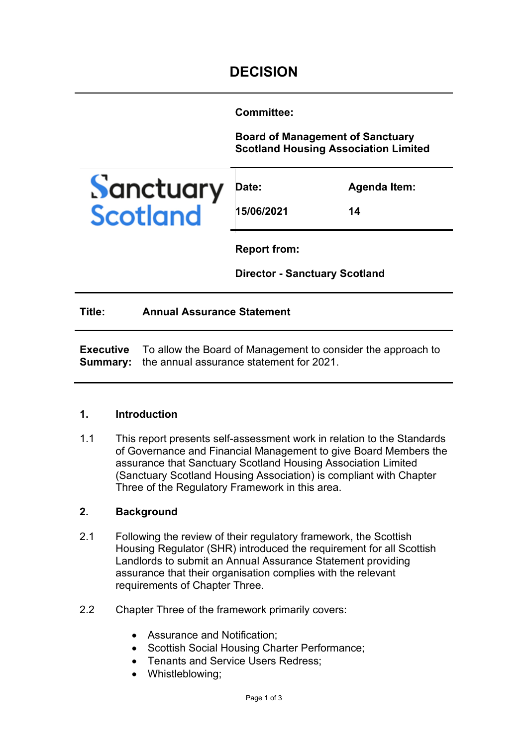**Committee:** 

**Board of Management of Sanctuary Scotland Housing Association Limited**



**Date: 15/06/2021** **Agenda Item:** 

**14**

**Report from:** 

**Director - Sanctuary Scotland**

**Title: Annual Assurance Statement**

**Executive Summary:**  the annual assurance statement for 2021. To allow the Board of Management to consider the approach to

## **1. Introduction**

1.1 This report presents self-assessment work in relation to the Standards of Governance and Financial Management to give Board Members the assurance that Sanctuary Scotland Housing Association Limited (Sanctuary Scotland Housing Association) is compliant with Chapter Three of the Regulatory Framework in this area.

# **2. Background**

- 2.1 Following the review of their regulatory framework, the Scottish Housing Regulator (SHR) introduced the requirement for all Scottish Landlords to submit an Annual Assurance Statement providing assurance that their organisation complies with the relevant requirements of Chapter Three.
- 2.2 Chapter Three of the framework primarily covers:
	- Assurance and Notification;
	- Scottish Social Housing Charter Performance;
	- Tenants and Service Users Redress;
	- Whistleblowing;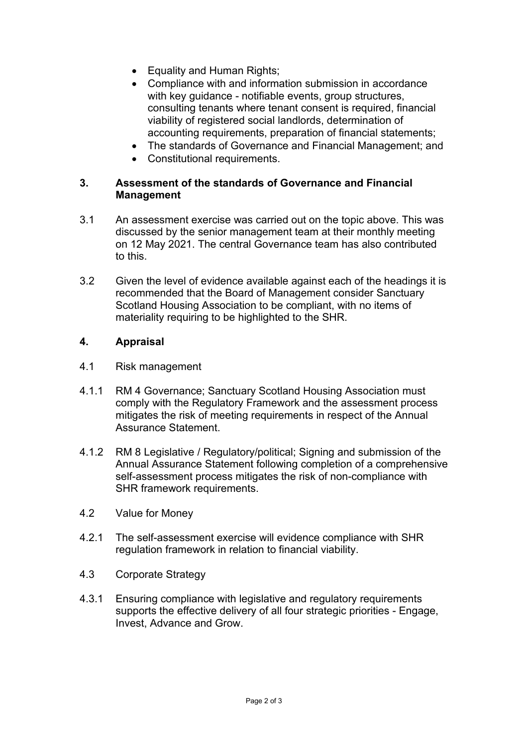- Equality and Human Rights;
- Compliance with and information submission in accordance with key guidance - notifiable events, group structures, consulting tenants where tenant consent is required, financial viability of registered social landlords, determination of accounting requirements, preparation of financial statements;
- The standards of Governance and Financial Management; and
- Constitutional requirements.

### **3. Assessment of the standards of Governance and Financial Management**

- 3.1 An assessment exercise was carried out on the topic above. This was discussed by the senior management team at their monthly meeting on 12 May 2021. The central Governance team has also contributed to this.
- 3.2 Given the level of evidence available against each of the headings it is recommended that the Board of Management consider Sanctuary Scotland Housing Association to be compliant, with no items of materiality requiring to be highlighted to the SHR.

# **4. Appraisal**

- 4.1 Risk management
- 4.1.1 RM 4 Governance; Sanctuary Scotland Housing Association must comply with the Regulatory Framework and the assessment process mitigates the risk of meeting requirements in respect of the Annual Assurance Statement.
- 4.1.2 RM 8 Legislative / Regulatory/political; Signing and submission of the Annual Assurance Statement following completion of a comprehensive self-assessment process mitigates the risk of non-compliance with SHR framework requirements.
- 4.2 Value for Money
- 4.2.1 The self-assessment exercise will evidence compliance with SHR regulation framework in relation to financial viability.
- 4.3 Corporate Strategy
- 4.3.1 Ensuring compliance with legislative and regulatory requirements supports the effective delivery of all four strategic priorities - Engage, Invest, Advance and Grow.